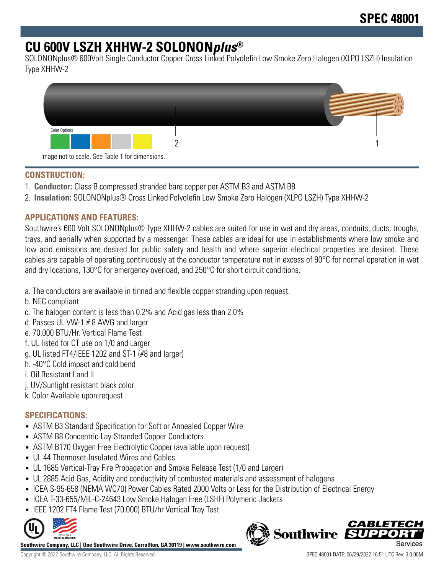# **CU 600V LSZH XHHW-2 SOLONONplus®**

SOLONONplus® 600Volt Single Conductor Copper Cross Linked Polyolefin Low Smoke Zero Halogen (XLPO LSZH) Insulation Type XHHW-2



## **CONSTRUCTION:**

- 1. **Conductor:** Class B compressed stranded bare copper per ASTM B3 and ASTM B8
- 2. **Insulation:** SOLONONplus® Cross Linked Polyolefin Low Smoke Zero Halogen (XLPO LSZH) Type XHHW-2

## **APPLICATIONS AND FEATURES:**

Southwire's 600 Volt SOLONONplus® Type XHHW-2 cables are suited for use in wet and dry areas, conduits, ducts, troughs, trays, and aerially when supported by a messenger. These cables are ideal for use in establishments where low smoke and low acid emissions are desired for public safety and health and where superior electrical properties are desired. These cables are capable of operating continuously at the conductor temperature not in excess of 90°C for normal operation in wet and dry locations, 130°C for emergency overload, and 250°C for short circuit conditions.

- a. The conductors are available in tinned and flexible copper stranding upon request.
- b. NEC compliant
- c. The halogen content is less than 0.2% and Acid gas less than 2.0%
- d. Passes UL VW-1 # 8 AWG and larger
- e. 70,000 BTU/Hr. Vertical Flame Test
- f. UL listed for CT use on 1/0 and Larger
- g. UL listed FT4/IEEE 1202 and ST-1 (#8 and larger)
- h. -40°C Cold impact and cold bend
- i. Oil Resistant I and II
- j. UV/Sunlight resistant black color
- k. Color Available upon request

## **SPECIFICATIONS:**

- ASTM B3 Standard Specification for Soft or Annealed Copper Wire
- ASTM B8 Concentric-Lay-Stranded Copper Conductors
- ASTM B170 Oxygen Free Electrolytic Copper (available upon request)
- UL 44 Thermoset-Insulated Wires and Cables
- UL 1685 Vertical-Tray Fire Propagation and Smoke Release Test (1/0 and Larger)
- UL 2885 Acid Gas, Acidity and conductivity of combusted materials and assessment of halogens
- ICEA S-95-658 (NEMA WC70) Power Cables Rated 2000 Volts or Less for the Distribution of Electrical Energy
- ICEA T-33-655/MIL-C-24643 Low Smoke Halogen Free (LSHF) Polymeric Jackets
- IEEE 1202 FT4 Flame Test (70,000) BTU/hr Vertical Tray Test



**Southwire Company, LLC | One Southwire Drive, Carrollton, GA 30119 | www.southwire.com**

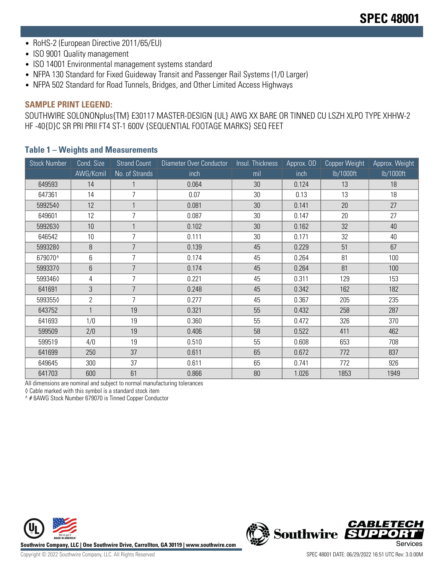- RoHS-2 (European Directive 2011/65/EU)
- ISO 9001 Quality management
- ISO 14001 Environmental management systems standard
- NFPA 130 Standard for Fixed Guideway Transit and Passenger Rail Systems (1/0 Larger)
- NFPA 502 Standard for Road Tunnels, Bridges, and Other Limited Access Highways

#### **SAMPLE PRINT LEGEND:**

SOUTHWIRE SOLONONplus{TM} E30117 MASTER-DESIGN {UL} AWG XX BARE OR TINNED CU LSZH XLPO TYPE XHHW-2 HF -40{D}C SR PRI PRII FT4 ST-1 600V {SEQUENTIAL FOOTAGE MARKS} SEQ FEET

| <b>Stock Number</b> | Cond. Size     | <b>Strand Count</b> | Diameter Over Conductor | Insul. Thickness | Approx. OD | Copper Weight | Approx. Weight |
|---------------------|----------------|---------------------|-------------------------|------------------|------------|---------------|----------------|
|                     | AWG/Kcmil      | No. of Strands      | inch                    | mil              | inch       | lb/1000ft     | lb/1000ft      |
| 649593              | 14             |                     | 0.064                   | 30               | 0.124      | 13            | 18             |
| 647361              | 14             | $\overline{7}$      | 0.07                    | 30               | 0.13       | 13            | 18             |
| 5992540             | 12             | $\mathbf{1}$        | 0.081                   | 30               | 0.141      | 20            | 27             |
| 649601              | 12             | 7                   | 0.087                   | 30               | 0.147      | 20            | 27             |
| 5992630             | 10             | $\mathbf{1}$        | 0.102                   | 30               | 0.162      | 32            | 40             |
| 646542              | 10             | 7                   | 0.111                   | 30               | 0.171      | 32            | 40             |
| 5993280             | 8              | $\overline{7}$      | 0.139                   | 45               | 0.229      | 51            | 67             |
| 679070^             | 6              | 7                   | 0.174                   | 45               | 0.264      | 81            | 100            |
| 5993370             | 6              | $\overline{7}$      | 0.174                   | 45               | 0.264      | 81            | 100            |
| 5993460             | 4              | 7                   | 0.221                   | 45               | 0.311      | 129           | 153            |
| 641691              | 3              | $\overline{7}$      | 0.248                   | 45               | 0.342      | 162           | 182            |
| 5993550             | $\overline{2}$ | 7                   | 0.277                   | 45               | 0.367      | 205           | 235            |
| 643752              | $\mathbf{1}$   | 19                  | 0.321                   | 55               | 0.432      | 258           | 287            |
| 641693              | 1/0            | 19                  | 0.360                   | 55               | 0.472      | 326           | 370            |
| 599509              | 2/0            | 19                  | 0.406                   | 58               | 0.522      | 411           | 462            |
| 599519              | 4/0            | 19                  | 0.510                   | 55               | 0.608      | 653           | 708            |
| 641699              | 250            | 37                  | 0.611                   | 65               | 0.672      | 772           | 837            |
| 649645              | 300            | 37                  | 0.611                   | 65               | 0.741      | 772           | 926            |
| 641703              | 600            | 61                  | 0.866                   | 80               | 1.026      | 1853          | 1949           |

#### **Table 1 – Weights and Measurements**

All dimensions are nominal and subject to normal manufacturing tolerances

◊ Cable marked with this symbol is a standard stock item

^ # 6AWG Stock Number 679070 is Tinned Copper Conductor